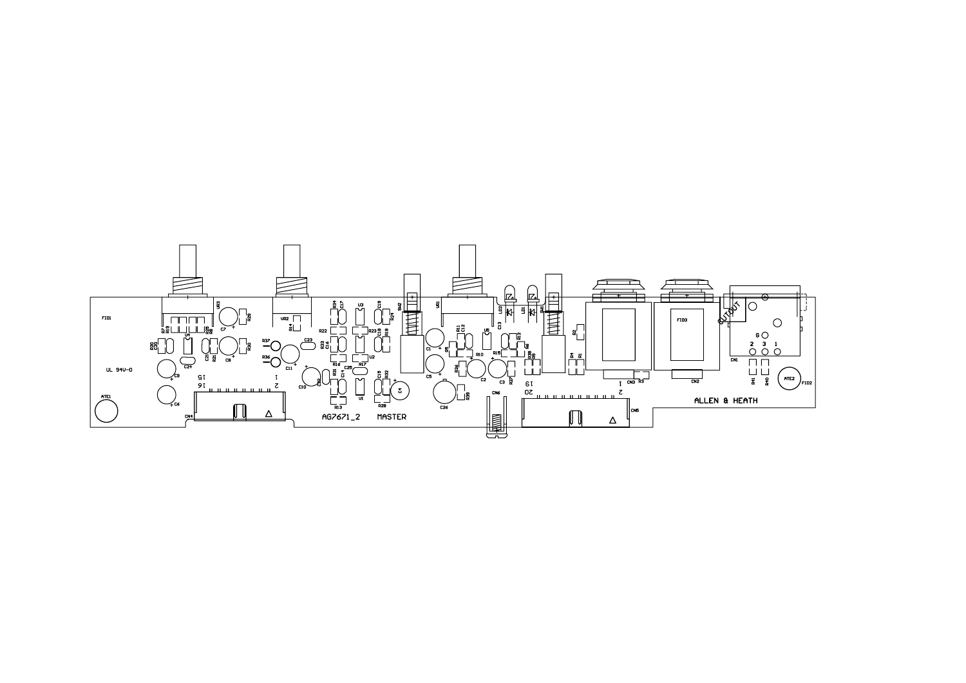